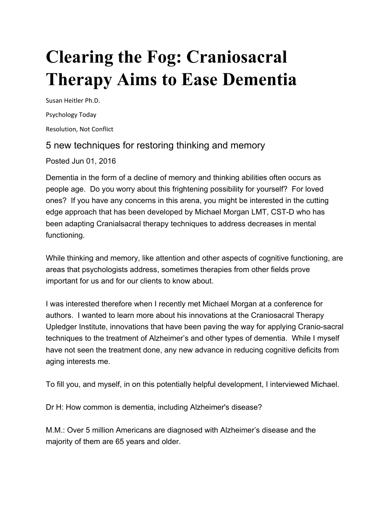## **Clearing the Fog: Craniosacral Therapy Aims to Ease Dementia**

Susan Heitler Ph.D. Psychology Today Resolution, Not Conflict

## 5 new techniques for restoring thinking and memory

Posted Jun 01, 2016

Dementia in the form of a decline of memory and thinking abilities often occurs as people age. Do you worry about this frightening possibility for yourself? For loved ones? If you have any concerns in this arena, you might be interested in the cutting edge approach that has been developed by Michael Morgan LMT, CST-D who has been adapting Cranialsacral therapy techniques to address decreases in mental functioning.

While thinking and memory, like attention and other aspects of cognitive functioning, are areas that psychologists address, sometimes therapies from other fields prove important for us and for our clients to know about.

I was interested therefore when I recently met Michael Morgan at a conference for authors. I wanted to learn more about his innovations at the Craniosacral Therapy Upledger Institute, innovations that have been paving the way for applying Cranio-sacral techniques to the treatment of Alzheimer's and other types of dementia. While I myself have not seen the treatment done, any new advance in reducing cognitive deficits from aging interests me.

To fill you, and myself, in on this potentially helpful development, I interviewed Michael.

Dr H: How common is dementia, including Alzheimer's disease?

M.M.: Over 5 million Americans are diagnosed with Alzheimer's disease and the majority of them are 65 years and older.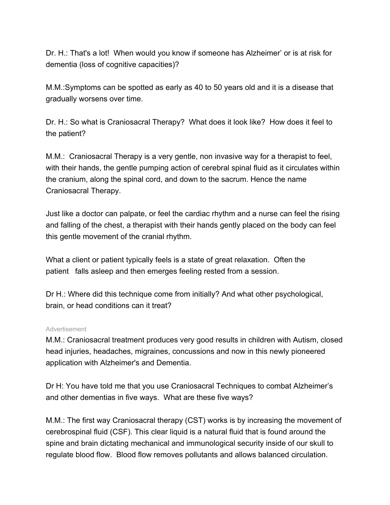Dr. H.: That's a lot! When would you know if someone has Alzheimer' or is at risk for dementia (loss of cognitive capacities)?

M.M.:Symptoms can be spotted as early as 40 to 50 years old and it is a disease that gradually worsens over time.

Dr. H.: So what is Craniosacral Therapy? What does it look like? How does it feel to the patient?

M.M.: Craniosacral Therapy is a very gentle, non invasive way for a therapist to feel, with their hands, the gentle pumping action of cerebral spinal fluid as it circulates within the cranium, along the spinal cord, and down to the sacrum. Hence the name Craniosacral Therapy.

Just like a doctor can palpate, or feel the cardiac rhythm and a nurse can feel the rising and falling of the chest, a therapist with their hands gently placed on the body can feel this gentle movement of the cranial rhythm.

What a client or patient typically feels is a state of great relaxation. Often the patient falls asleep and then emerges feeling rested from a session.

Dr H.: Where did this technique come from initially? And what other psychological, brain, or head conditions can it treat?

## Advertisement

M.M.: Craniosacral treatment produces very good results in children with Autism, closed head injuries, headaches, migraines, concussions and now in this newly pioneered application with Alzheimer's and Dementia.

Dr H: You have told me that you use Craniosacral Techniques to combat Alzheimer's and other dementias in five ways. What are these five ways?

M.M.: The first way Craniosacral therapy (CST) works is by increasing the movement of cerebrospinal fluid (CSF). This clear liquid is a natural fluid that is found around the spine and brain dictating mechanical and immunological security inside of our skull to regulate blood flow. Blood flow removes pollutants and allows balanced circulation.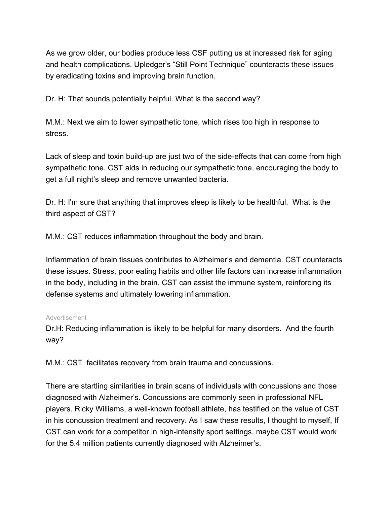As we grow older, our bodies produce less CSF putting us at increased risk for aging and health complications. Upledger's "Still Point Technique" counteracts these issues by eradicating toxins and improving brain function.

Dr. H: That sounds potentially helpful. What is the second way?

M.M.: Next we aim to lower sympathetic tone, which rises too high in response to stress.

Lack of sleep and toxin build-up are just two of the side-effects that can come from high sympathetic tone. CST aids in reducing our sympathetic tone, encouraging the body to get a full night's sleep and remove unwanted bacteria.

Dr. H: I'm sure that anything that improves sleep is likely to be healthful. What is the third aspect of CST?

M.M.: CST reduces inflammation throughout the body and brain.

Inflammation of brain tissues contributes to Alzheimer's and dementia. CST counteracts these issues. Stress, poor eating habits and other life factors can increase inflammation in the body, including in the brain. CST can assist the immune system, reinforcing its defense systems and ultimately lowering inflammation.

## Advertisement

Dr.H: Reducing inflammation is likely to be helpful for many disorders. And the fourth way?

M.M.: CST facilitates recovery from brain trauma and concussions.

There are startling similarities in brain scans of individuals with concussions and those diagnosed with Alzheimer's. Concussions are commonly seen in professional NFL players. Ricky Williams, a well-known football athlete, has testified on the value of CST in his concussion treatment and recovery. As I saw these results, I thought to myself, If CST can work for a competitor in high-intensity sport settings, maybe CST would work for the 5.4 million patients currently diagnosed with Alzheimer's.